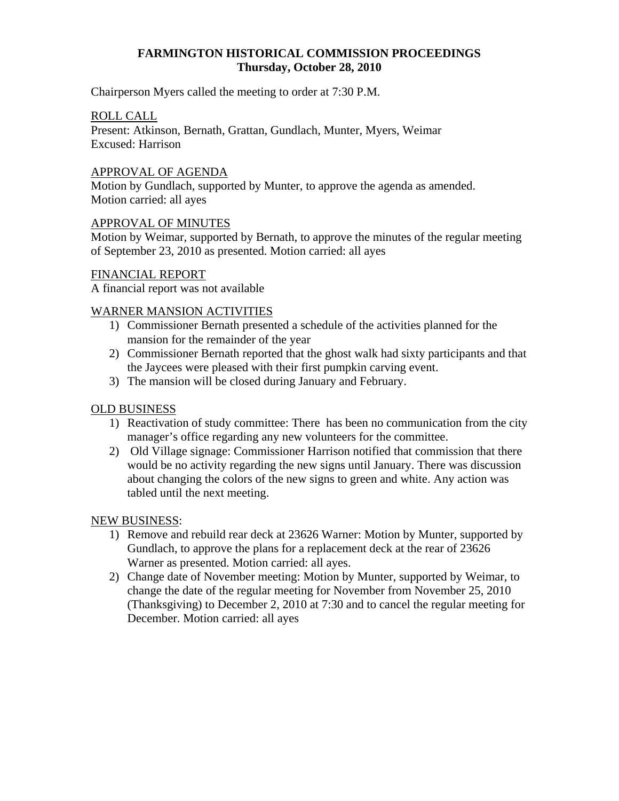# **FARMINGTON HISTORICAL COMMISSION PROCEEDINGS Thursday, October 28, 2010**

Chairperson Myers called the meeting to order at 7:30 P.M.

### ROLL CALL

Present: Atkinson, Bernath, Grattan, Gundlach, Munter, Myers, Weimar Excused: Harrison

### APPROVAL OF AGENDA

Motion by Gundlach, supported by Munter, to approve the agenda as amended. Motion carried: all ayes

### APPROVAL OF MINUTES

Motion by Weimar, supported by Bernath, to approve the minutes of the regular meeting of September 23, 2010 as presented. Motion carried: all ayes

### FINANCIAL REPORT

A financial report was not available

# WARNER MANSION ACTIVITIES

- 1) Commissioner Bernath presented a schedule of the activities planned for the mansion for the remainder of the year
- 2) Commissioner Bernath reported that the ghost walk had sixty participants and that the Jaycees were pleased with their first pumpkin carving event.
- 3) The mansion will be closed during January and February.

# OLD BUSINESS

- 1) Reactivation of study committee: There has been no communication from the city manager's office regarding any new volunteers for the committee.
- 2) Old Village signage: Commissioner Harrison notified that commission that there would be no activity regarding the new signs until January. There was discussion about changing the colors of the new signs to green and white. Any action was tabled until the next meeting.

#### NEW BUSINESS:

- 1) Remove and rebuild rear deck at 23626 Warner: Motion by Munter, supported by Gundlach, to approve the plans for a replacement deck at the rear of 23626 Warner as presented. Motion carried: all ayes.
- 2) Change date of November meeting: Motion by Munter, supported by Weimar, to change the date of the regular meeting for November from November 25, 2010 (Thanksgiving) to December 2, 2010 at 7:30 and to cancel the regular meeting for December. Motion carried: all ayes